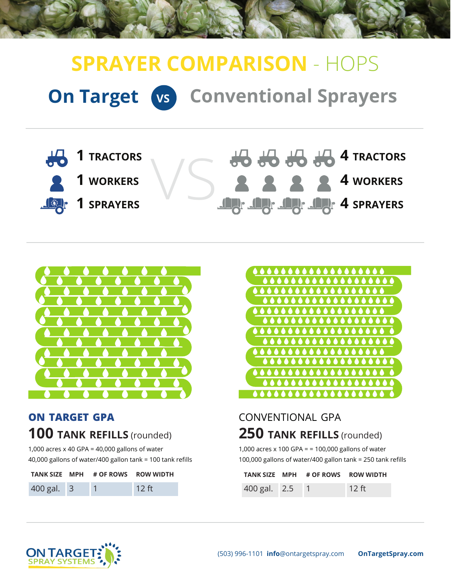# **On Target VS Conventional Sprayers SPRAYER COMPARISON** - HOPS





## **on target gpa 100 tank refills** (rounded)

1,000 acres x 40 GPA = 40,000 gallons of water 40,000 gallons of water/400 gallon tank = 100 tank refills

|                | TANK SIZE MPH # OF ROWS ROW WIDTH |         |
|----------------|-----------------------------------|---------|
| $400$ gal. $3$ |                                   | $12$ ft |



## conventional gpa **250 tank refills** (rounded)

1,000 acres x 100 GPA = = 100,000 gallons of water 100,000 gallons of water/400 gallon tank = 250 tank refills

|                | TANK SIZE MPH # OF ROWS ROW WIDTH |         |
|----------------|-----------------------------------|---------|
| 400 gal. 2.5 1 |                                   | $12$ ft |